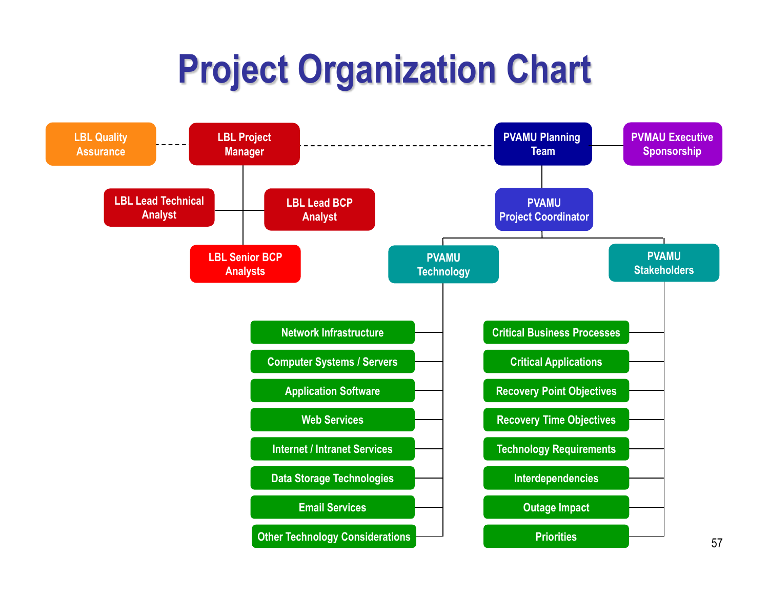## **Project Organization Chart**

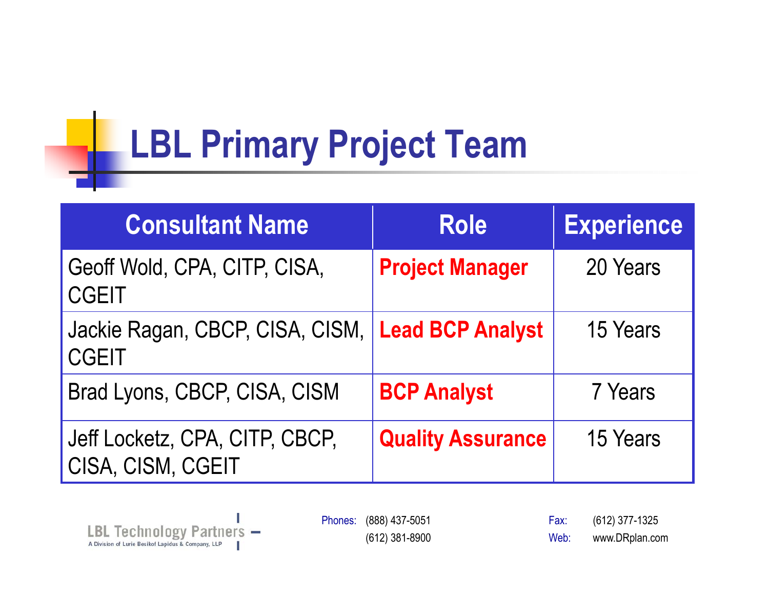## **LBL Primary Project Team**

| <b>Consultant Name</b>                              | <b>Role</b>              | <b>Experience</b> |
|-----------------------------------------------------|--------------------------|-------------------|
| Geoff Wold, CPA, CITP, CISA,<br><b>CGEIT</b>        | <b>Project Manager</b>   | 20 Years          |
| Jackie Ragan, CBCP, CISA, CISM,<br><b>CGEIT</b>     | <b>Lead BCP Analyst</b>  | 15 Years          |
| Brad Lyons, CBCP, CISA, CISM                        | <b>BCP Analyst</b>       | 7 Years           |
| Jeff Locketz, CPA, CITP, CBCP,<br>CISA, CISM, CGEIT | <b>Quality Assurance</b> | 15 Years          |



Phones: (888) 437-5051 (612) 381-8900 Fax: (612) 377-1325 Web: www.DRplan.com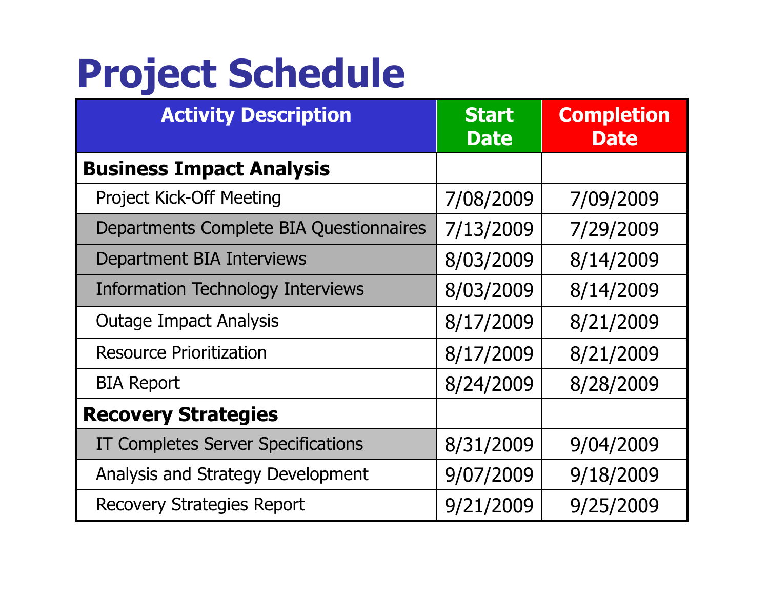## **Project Schedule**

| <b>Activity Description</b>               | <b>Start</b><br><b>Date</b> | <b>Completion</b><br><b>Date</b> |
|-------------------------------------------|-----------------------------|----------------------------------|
| <b>Business Impact Analysis</b>           |                             |                                  |
| <b>Project Kick-Off Meeting</b>           | 7/08/2009                   | 7/09/2009                        |
| Departments Complete BIA Questionnaires   | 7/13/2009                   | 7/29/2009                        |
| Department BIA Interviews                 | 8/03/2009                   | 8/14/2009                        |
| <b>Information Technology Interviews</b>  | 8/03/2009                   | 8/14/2009                        |
| <b>Outage Impact Analysis</b>             | 8/17/2009                   | 8/21/2009                        |
| <b>Resource Prioritization</b>            | 8/17/2009                   | 8/21/2009                        |
| <b>BIA Report</b>                         | 8/24/2009                   | 8/28/2009                        |
| <b>Recovery Strategies</b>                |                             |                                  |
| <b>IT Completes Server Specifications</b> | 8/31/2009                   | 9/04/2009                        |
| Analysis and Strategy Development         | 9/07/2009                   | 9/18/2009                        |
| <b>Recovery Strategies Report</b>         | 9/21/2009                   | 9/25/2009                        |